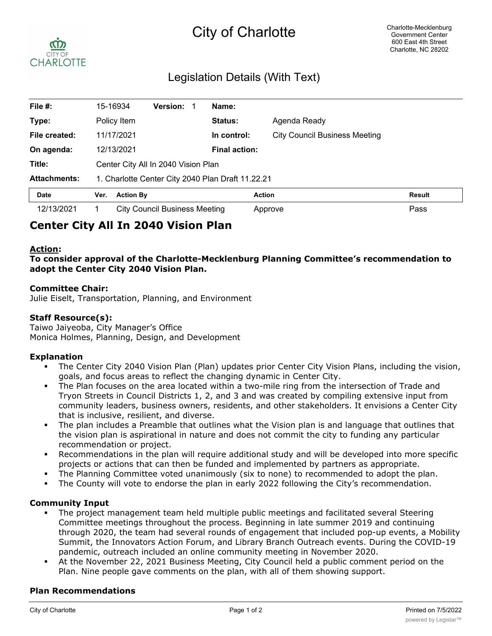# City of Charlotte



# Legislation Details (With Text)

| File $#$ :          |                                                   | 15-16934    | <b>Version:</b> |  | Name:                |                                      |               |
|---------------------|---------------------------------------------------|-------------|-----------------|--|----------------------|--------------------------------------|---------------|
| Type:               |                                                   | Policy Item |                 |  | <b>Status:</b>       | Agenda Ready                         |               |
| File created:       |                                                   | 11/17/2021  |                 |  | In control:          | <b>City Council Business Meeting</b> |               |
| On agenda:          |                                                   | 12/13/2021  |                 |  | <b>Final action:</b> |                                      |               |
| Title:              | Center City All In 2040 Vision Plan               |             |                 |  |                      |                                      |               |
| <b>Attachments:</b> | 1. Charlotte Center City 2040 Plan Draft 11.22.21 |             |                 |  |                      |                                      |               |
| <b>Date</b>         | <b>Action By</b><br>Ver.                          |             |                 |  |                      | <b>Action</b>                        | <b>Result</b> |
| 12/13/2021          | <b>City Council Business Meeting</b>              |             |                 |  |                      | Approve                              | Pass          |

# **Center City All In 2040 Vision Plan**

### **Action:**

**To consider approval of the Charlotte-Mecklenburg Planning Committee's recommendation to adopt the Center City 2040 Vision Plan.**

#### **Committee Chair:**

Julie Eiselt, Transportation, Planning, and Environment

#### **Staff Resource(s):**

Taiwo Jaiyeoba, City Manager's Office Monica Holmes, Planning, Design, and Development

#### **Explanation**

- The Center City 2040 Vision Plan (Plan) updates prior Center City Vision Plans, including the vision, goals, and focus areas to reflect the changing dynamic in Center City.
- The Plan focuses on the area located within a two-mile ring from the intersection of Trade and Tryon Streets in Council Districts 1, 2, and 3 and was created by compiling extensive input from community leaders, business owners, residents, and other stakeholders. It envisions a Center City that is inclusive, resilient, and diverse.
- The plan includes a Preamble that outlines what the Vision plan is and language that outlines that the vision plan is aspirational in nature and does not commit the city to funding any particular recommendation or project.
- Recommendations in the plan will require additional study and will be developed into more specific projects or actions that can then be funded and implemented by partners as appropriate.
- The Planning Committee voted unanimously (six to none) to recommended to adopt the plan.
- The County will vote to endorse the plan in early 2022 following the City's recommendation.

#### **Community Input**

- The project management team held multiple public meetings and facilitated several Steering Committee meetings throughout the process. Beginning in late summer 2019 and continuing through 2020, the team had several rounds of engagement that included pop-up events, a Mobility Summit, the Innovators Action Forum, and Library Branch Outreach events. During the COVID-19 pandemic, outreach included an online community meeting in November 2020.
- § At the November 22, 2021 Business Meeting, City Council held a public comment period on the Plan. Nine people gave comments on the plan, with all of them showing support.

#### **Plan Recommendations**